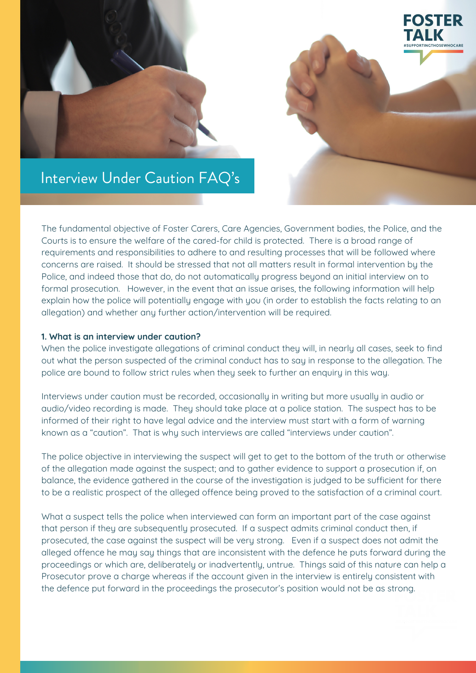



# Interview Under Caution FAQ' s

The fundamental objective of Foster Carers, Care Agencies, Government bodies, the Police, and the Courts is to ensure the welfare of the cared-for child is protected. There is a broad range of requirements and responsibilities to adhere to and resulting processes that will be followed where concerns are raised. It should be stressed that not all matters result in formal intervention by the Police, and indeed those that do, do not automatically progress beyond an initial interview on to formal prosecution. However, in the event that an issue arises, the following information will help explain how the police will potentially engage with you (in order to establish the facts relating to an allegation) and whether any further action/intervention will be required.

## **1. What is an interview under caution?**

When the police investigate allegations of criminal conduct they will, in nearly all cases, seek to find out what the person suspected of the criminal conduct has to say in response to the allegation. The police are bound to follow strict rules when they seek to further an enquiry in this way.

Interviews under caution must be recorded, occasionally in writing but more usually in audio or audio/video recording is made. They should take place at a police station. The suspect has to be informed of their right to have legal advice and the interview must start with a form of warning known as a "caution". That is why such interviews are called "interviews under caution".

The police objective in interviewing the suspect will get to get to the bottom of the truth or otherwise of the allegation made against the suspect; and to gather evidence to support a prosecution if, on balance, the evidence gathered in the course of the investigation is judged to be sufficient for there to be a realistic prospect of the alleged offence being proved to the satisfaction of a criminal court.

What a suspect tells the police when interviewed can form an important part of the case against that person if they are subsequently prosecuted. If a suspect admits criminal conduct then, if prosecuted, the case against the suspect will be very strong. Even if a suspect does not admit the alleged offence he may say things that are inconsistent with the defence he puts forward during the proceedings or which are, deliberately or inadvertently, untrue. Things said of this nature can help a Prosecutor prove a charge whereas if the account given in the interview is entirely consistent with the defence put forward in the proceedings the prosecutor's position would not be as strong.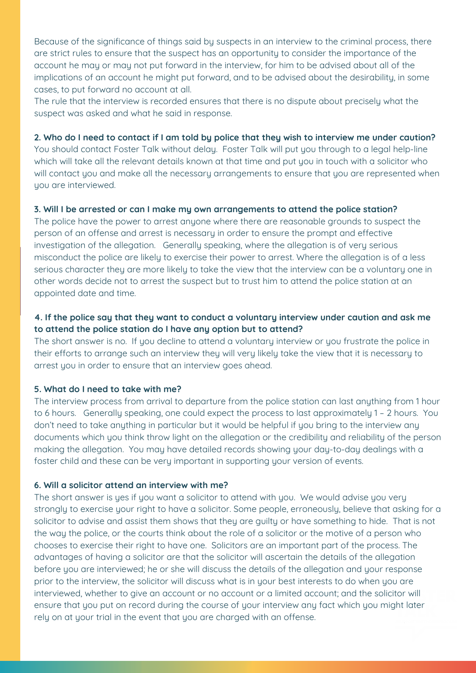Because of the significance of things said by suspects in an interview to the criminal process, there are strict rules to ensure that the suspect has an opportunity to consider the importance of the account he may or may not put forward in the interview, for him to be advised about all of the implications of an account he might put forward, and to be advised about the desirability, in some cases, to put forward no account at all.

The rule that the interview is recorded ensures that there is no dispute about precisely what the suspect was asked and what he said in response.

#### 2. Who do I need to contact if I am told by police that they wish to interview me under caution?

You should contact Foster Talk without delay. Foster Talk will put you through to a legal help-line which will take all the relevant details known at that time and put you in touch with a solicitor who will contact you and make all the necessary arrangements to ensure that you are represented when you are interviewed.

### **3. Will I be arrested or can I make my own arrangements to attend the police station?**

The police have the power to arrest anyone where there are reasonable grounds to suspect the person of an offense and arrest is necessary in order to ensure the prompt and effective investigation of the allegation. Generally speaking, where the allegation is of very serious misconduct the police are likely to exercise their power to arrest. Where the allegation is of a less serious character they are more likely to take the view that the interview can be a voluntary one in other words decide not to arrest the suspect but to trust him to attend the police station at an appointed date and time.

# **4. If the police say that they want to conduct a voluntary interview under caution and ask me to attend the police station do I have any option but to attend?**

The short answer is no. If you decline to attend a voluntary interview or you frustrate the police in their efforts to arrange such an interview they will very likely take the view that it is necessary to arrest you in order to ensure that an interview goes ahead.

### **5. What do I need to take with me?**

The interview process from arrival to departure from the police station can last anything from 1 hour to 6 hours. Generally speaking, one could expect the process to last approximately 1 – 2 hours. You don't need to take anything in particular but it would be helpful if you bring to the interview any documents which you think throw light on the allegation or the credibility and reliability of the person making the allegation. You may have detailed records showing your day-to-day dealings with a foster child and these can be very important in supporting your version of events.

## **6. Will a solicitor attend an interview with me?**

The short answer is yes if you want a solicitor to attend with you. We would advise you very strongly to exercise your right to have a solicitor. Some people, erroneously, believe that asking for a solicitor to advise and assist them shows that they are guilty or have something to hide. That is not the way the police, or the courts think about the role of a solicitor or the motive of a person who chooses to exercise their right to have one. Solicitors are an important part of the process. The advantages of having a solicitor are that the solicitor will ascertain the details of the allegation before you are interviewed; he or she will discuss the details of the allegation and your response prior to the interview, the solicitor will discuss what is in your best interests to do when you are interviewed, whether to give an account or no account or a limited account; and the solicitor will ensure that you put on record during the course of your interview any fact which you might later rely on at your trial in the event that you are charged with an offense.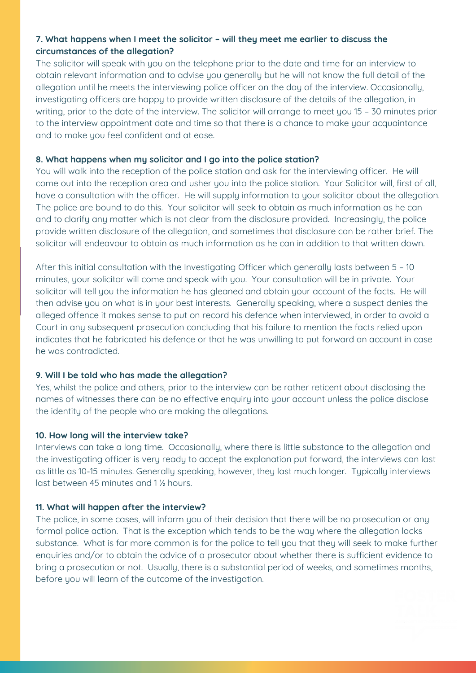# **7. What happens when I meet the solicitor – will they meet me earlier to discuss the circumstances of the allegation?**

The solicitor will speak with you on the telephone prior to the date and time for an interview to obtain relevant information and to advise you generally but he will not know the full detail of the allegation until he meets the interviewing police officer on the day of the interview. Occasionally, investigating officers are happy to provide written disclosure of the details of the allegation, in writing, prior to the date of the interview. The solicitor will arrange to meet you 15 – 30 minutes prior to the interview appointment date and time so that there is a chance to make your acquaintance and to make you feel confident and at ease.

## **8. What happens when my solicitor and I go into the police station?**

You will walk into the reception of the police station and ask for the interviewing officer. He will come out into the reception area and usher you into the police station. Your Solicitor will, first of all, have a consultation with the officer. He will supply information to your solicitor about the allegation. The police are bound to do this. Your solicitor will seek to obtain as much information as he can and to clarify any matter which is not clear from the disclosure provided. Increasingly, the police provide written disclosure of the allegation, and sometimes that disclosure can be rather brief. The solicitor will endeavour to obtain as much information as he can in addition to that written down.

After this initial consultation with the Investigating Officer which generally lasts between 5 – 10 minutes, your solicitor will come and speak with you. Your consultation will be in private. Your solicitor will tell you the information he has gleaned and obtain your account of the facts. He will then advise you on what is in your best interests. Generally speaking, where a suspect denies the alleged offence it makes sense to put on record his defence when interviewed, in order to avoid a Court in any subsequent prosecution concluding that his failure to mention the facts relied upon indicates that he fabricated his defence or that he was unwilling to put forward an account in case he was contradicted.

### **9. Will I be told who has made the allegation?**

Yes, whilst the police and others, prior to the interview can be rather reticent about disclosing the names of witnesses there can be no effective enquiry into your account unless the police disclose the identity of the people who are making the allegations.

### **10. How long will the interview take?**

Interviews can take a long time. Occasionally, where there is little substance to the allegation and the investigating officer is very ready to accept the explanation put forward, the interviews can last as little as 10-15 minutes. Generally speaking, however, they last much longer. Typically interviews last between 45 minutes and 1 ½ hours.

# **11. What will happen after the interview?**

The police, in some cases, will inform you of their decision that there will be no prosecution or any formal police action. That is the exception which tends to be the way where the allegation lacks substance. What is far more common is for the police to tell you that they will seek to make further enquiries and/or to obtain the advice of a prosecutor about whether there is sufficient evidence to bring a prosecution or not. Usually, there is a substantial period of weeks, and sometimes months, before you will learn of the outcome of the investigation.